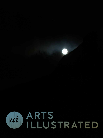

## ARTS ILLUSTRATED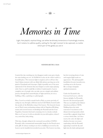*Memories in Time*

Light, that playful, mystical thing, can either be divinely immersive or frustratingly invasive, but it retains its sublime quality, waiting for the right moment to be captured, no matter which part of the globe you are in

## SIDDHARTHA DAS

I started the day watching my city disappear under sooty grey clouds, the rains lashing out at it. At 20,000 feet in the air the whole world is a beautiful place. The monsoon light is magical, and we all have that Ansel Adams moment with our dinky little phones peering out at the pixels of farmlands and cityscapes. Light is possibly one of the most ephemeral of the elements that any designer or artist enjoys playing with. I love it, and I would like to believe I understand it. I am in complete awe of people who can take you on a simple and sublime journey through their masterful play of light and form, be it in a building, a film, a painting or a photograph.

Here, I need to rewind a month back to Paris, or, more precisely, of eating my way through a delicious meal at Café Marley located under the arcades of the Richelieu wing of the Louvre. The brasserie boasts one of Paris's most enchanting settings with its Napoleon III dining rooms and covered terrace overlooking the Pyramid and the Cour Napoléon. Gourmet food and a stunning view is a heady cocktail. More so, if you see it with an adorable six-year-old nephew, whom I was, somewhat, baby-sitting.

This time, though, sitting in the courtyard was architect I M Pei's Pyramid, with a monumental anamorphic image by the French street artist, JR. It's always exciting to see how a building as revered as the Louvre can be handled irreverently by an artist. The Louvre was shut, but the recurring theme of rain and magical light made an appearance. The photographic installation became incandescent, reaching out to the heavens like a strange triangular spiritual monument.

Under the Pyramid is the Carrousel du Louvre, with the famous skylight, La Pyramide Inversée (the inverted pyramid). This too was built by the Chinese American architect, I M Pei. Walking down the main concourse I was drawn to the distant inverted pyramid, which seemed like a gigantic lamp from a science fiction film. As I drew nearer, the scale, the light and shadows become even more captivating, with the Pyramid appearing to suck the sky and light into the dark underground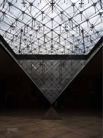

*Paris.*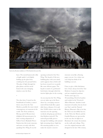

*French artist, JR's photo installation on I M Pei's Pyramid at the Louvre, Paris.*

foyer. The metal framework is like a fragile spider's web lightly holding up the glass from crashing into the ground below. The play of light through the glass planes and the metal framework casts changing shadows onto the floor.

•

Two days later, I stayed on the Southbank in London, a stone's throw away from the Tate Modern, possibly the most visited contemporary art museum in the world. The Swiss architects, Herzog and de Meuron have delighted all museum-goers by their exciting adaptation of Gilbert Scott's Bankside Power Station into this iconic museum, and more recently with their spanking New Wing. It was the

opening weekend of the New Wing. The façade of this new building plays with your mind, and it appears that a brick wall has been creased ever so gently like some delicate paper. The façade is made of a perforated brick lattice through which the interior lights glow in the evening.

As you step into the New Wing, you are taken up to the floors above by a sweeping concrete stairwell that looks like a giant slide from a distance. It is said that 10,000 visitors came to the museum over the opening weekend, all going up and down that fabulous stairwell. The stairwell gracefully pierces through the building, with natural light streaming down. Light has this amazing quality to even make the massive concrete

structure seem like a flowing paper cut-out. As a visitor one can't help but think of the building as an art.

I have to give a little disclaimer here. I have always loved the Tate Modern; I cannot be objective and am completely partisan. Twelve years ago, as a 30-something, I lived in London and worked at the Victoria & Albert Museum. Another iconic museum in London, but my heart was Tate's and the Natural History Museum's. But to be fair, the V&A was incredibly fun too. At the V&A, the Morris and the Gamble Rooms are spectacular in the way they let light in to illuminate the ornate decorations on the walls and ceilings. They were the original museum cafés designed in the late 19th century,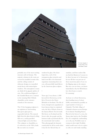

*The brick façade of the New Wing of the Tate Modern, London.*

probably one of the most exciting museum cafés in Europe. The majestic columns in the room are covered in moulded ceramic tiles, and the ceiling consists of elaborate designs on enamelled metal sheets with stained-glass windows. The atmospheric rooms are dimly lit by gigantic globes of wire. The well-formed lights of the Gamble Room are a contrast to the stunning Dale Chihuly chandelier at the entrance rotunda of the museum.

The 27-feet hanging sculpture is an explosion of intertwining blue-green glass pieces, suspended mid-air. The natural light from the glass domed ceiling falls on it, casting speckled coloured light across the floor. The sculpture or chandelier, as it's referred to at the V&A, looks like an exotic sea creature

rendered in glass. On closer inspection, each of the transparent glass tentacles and buds seem like a few thousand organisms emanating from one core, all masterfully hand-blown by the American glass sculptor.

## Years ago, I was about a 1,000 km north in Stornoway, on the Isle of Lewis in the Outer Hebrides in Scotland. The Isle of Lewis, though more populated, is lesser known than its conjoined twin, the Isle of Harris, home to the famous Harris Tweed textile. My theory on Scotland and the Scots is this: the people and the humour make up fantastically for the notoriously bad weather. They photograph the fantastic countryside for all its worth when it has the few blessed days of

sunshine, and then suckers like me find the flimsiest of excuses to be there because of it. Stornoway for me till then was just one of those mysterious places I saw on the flipping signs at the airport. But once you are there, you know immediately why the Hebrideans love their home so much. It's stunning!

An hour or so from Stornoway, their bustling town of about 8,000, surrounded by possibly an equal number of sheep, is Calanish. The little village of Calanish is known across Europe for its historic Standing Stones. Placed in the form of a cross, the Stones date back to the Neolithic Era. It's completely confounding as to why any Neolithic man or woman in their right Neolithic mind would want to be in a place so cold, wet and windy standing

•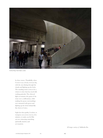

*The New Wing of Tate Modern, London.*

by these stones. Thankfully, when I went it was a lovely overcast day, with the sun shining through the clouds and lighting up the lochs. The standing stones seem to be a witness to time that has stood still, waiting patiently. The ethereal light accentuates the grain of the stone over a millennium, while making the grassy surroundings over saturated with green and lighting up the lochs behind like fine sheets of mica.

Light has that quality, I reckon, to transpose you across eras in a few minutes, to make you feel like you are witnessing something spiritually timeless and yet transient.

*All images courtesy of Siddhartha Das.*